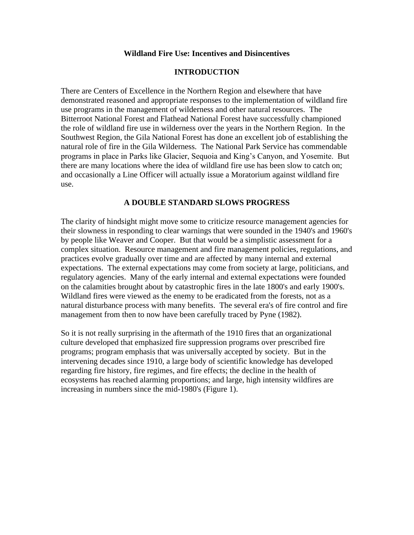### **Wildland Fire Use: Incentives and Disincentives**

### **INTRODUCTION**

There are Centers of Excellence in the Northern Region and elsewhere that have demonstrated reasoned and appropriate responses to the implementation of wildland fire use programs in the management of wilderness and other natural resources. The Bitterroot National Forest and Flathead National Forest have successfully championed the role of wildland fire use in wilderness over the years in the Northern Region. In the Southwest Region, the Gila National Forest has done an excellent job of establishing the natural role of fire in the Gila Wilderness. The National Park Service has commendable programs in place in Parks like Glacier, Sequoia and King's Canyon, and Yosemite. But there are many locations where the idea of wildland fire use has been slow to catch on; and occasionally a Line Officer will actually issue a Moratorium against wildland fire use.

### **A DOUBLE STANDARD SLOWS PROGRESS**

The clarity of hindsight might move some to criticize resource management agencies for their slowness in responding to clear warnings that were sounded in the 1940's and 1960's by people like Weaver and Cooper. But that would be a simplistic assessment for a complex situation. Resource management and fire management policies, regulations, and practices evolve gradually over time and are affected by many internal and external expectations. The external expectations may come from society at large, politicians, and regulatory agencies. Many of the early internal and external expectations were founded on the calamities brought about by catastrophic fires in the late 1800's and early 1900's. Wildland fires were viewed as the enemy to be eradicated from the forests, not as a natural disturbance process with many benefits. The several era's of fire control and fire management from then to now have been carefully traced by Pyne (1982).

So it is not really surprising in the aftermath of the 1910 fires that an organizational culture developed that emphasized fire suppression programs over prescribed fire programs; program emphasis that was universally accepted by society. But in the intervening decades since 1910, a large body of scientific knowledge has developed regarding fire history, fire regimes, and fire effects; the decline in the health of ecosystems has reached alarming proportions; and large, high intensity wildfires are increasing in numbers since the mid-1980's (Figure 1).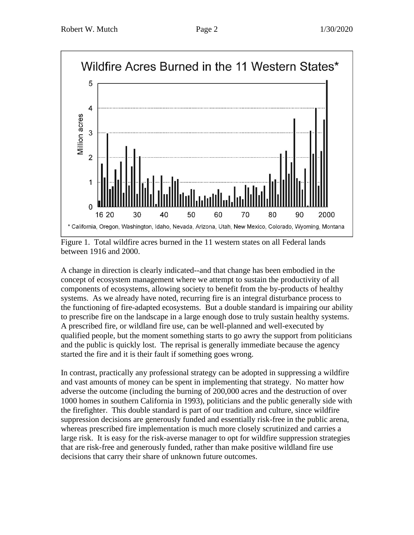

Figure 1. Total wildfire acres burned in the 11 western states on all Federal lands between 1916 and 2000.

A change in direction is clearly indicated--and that change has been embodied in the concept of ecosystem management where we attempt to sustain the productivity of all components of ecosystems, allowing society to benefit from the by-products of healthy systems. As we already have noted, recurring fire is an integral disturbance process to the functioning of fire-adapted ecosystems. But a double standard is impairing our ability to prescribe fire on the landscape in a large enough dose to truly sustain healthy systems. A prescribed fire, or wildland fire use, can be well-planned and well-executed by qualified people, but the moment something starts to go awry the support from politicians and the public is quickly lost. The reprisal is generally immediate because the agency started the fire and it is their fault if something goes wrong.

In contrast, practically any professional strategy can be adopted in suppressing a wildfire and vast amounts of money can be spent in implementing that strategy. No matter how adverse the outcome (including the burning of 200,000 acres and the destruction of over 1000 homes in southern California in 1993), politicians and the public generally side with the firefighter. This double standard is part of our tradition and culture, since wildfire suppression decisions are generously funded and essentially risk-free in the public arena, whereas prescribed fire implementation is much more closely scrutinized and carries a large risk. It is easy for the risk-averse manager to opt for wildfire suppression strategies that are risk-free and generously funded, rather than make positive wildland fire use decisions that carry their share of unknown future outcomes.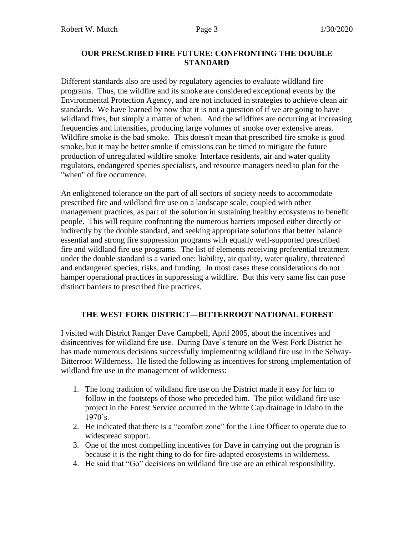## **OUR PRESCRIBED FIRE FUTURE: CONFRONTING THE DOUBLE STANDARD**

Different standards also are used by regulatory agencies to evaluate wildland fire programs. Thus, the wildfire and its smoke are considered exceptional events by the Environmental Protection Agency, and are not included in strategies to achieve clean air standards. We have learned by now that it is not a question of if we are going to have wildland fires, but simply a matter of when. And the wildfires are occurring at increasing frequencies and intensities, producing large volumes of smoke over extensive areas. Wildfire smoke is the bad smoke. This doesn't mean that prescribed fire smoke is good smoke, but it may be better smoke if emissions can be timed to mitigate the future production of unregulated wildfire smoke. Interface residents, air and water quality regulators, endangered species specialists, and resource managers need to plan for the "when" of fire occurrence.

An enlightened tolerance on the part of all sectors of society needs to accommodate prescribed fire and wildland fire use on a landscape scale, coupled with other management practices, as part of the solution in sustaining healthy ecosystems to benefit people. This will require confronting the numerous barriers imposed either directly or indirectly by the double standard, and seeking appropriate solutions that better balance essential and strong fire suppression programs with equally well-supported prescribed fire and wildland fire use programs. The list of elements receiving preferential treatment under the double standard is a varied one: liability, air quality, water quality, threatened and endangered species, risks, and funding. In most cases these considerations do not hamper operational practices in suppressing a wildfire. But this very same list can pose distinct barriers to prescribed fire practices.

## **THE WEST FORK DISTRICT—BITTERROOT NATIONAL FOREST**

I visited with District Ranger Dave Campbell, April 2005, about the incentives and disincentives for wildland fire use. During Dave's tenure on the West Fork District he has made numerous decisions successfully implementing wildland fire use in the Selway-Bitterroot Wilderness. He listed the following as incentives for strong implementation of wildland fire use in the management of wilderness:

- 1. The long tradition of wildland fire use on the District made it easy for him to follow in the footsteps of those who preceded him. The pilot wildland fire use project in the Forest Service occurred in the White Cap drainage in Idaho in the  $1970's.$
- 2. He indicated that there is a "comfort zone" for the Line Officer to operate due to widespread support.
- 3. One of the most compelling incentives for Dave in carrying out the program is because it is the right thing to do for fire-adapted ecosystems in wilderness.
- 4. He said that "Go" decisions on wildland fire use are an ethical responsibility.